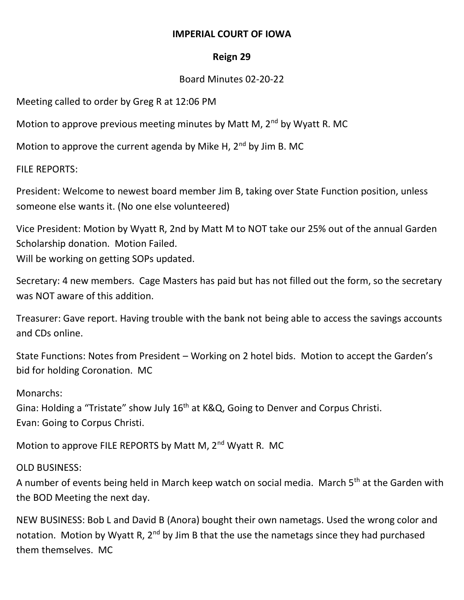## **IMPERIAL COURT OF IOWA**

## **Reign 29**

## Board Minutes 02-20-22

Meeting called to order by Greg R at 12:06 PM

Motion to approve previous meeting minutes by Matt M,  $2<sup>nd</sup>$  by Wyatt R. MC

Motion to approve the current agenda by Mike H,  $2^{nd}$  by Jim B. MC

FILE REPORTS:

President: Welcome to newest board member Jim B, taking over State Function position, unless someone else wants it. (No one else volunteered)

Vice President: Motion by Wyatt R, 2nd by Matt M to NOT take our 25% out of the annual Garden Scholarship donation. Motion Failed. Will be working on getting SOPs updated.

Secretary: 4 new members. Cage Masters has paid but has not filled out the form, so the secretary was NOT aware of this addition.

Treasurer: Gave report. Having trouble with the bank not being able to access the savings accounts and CDs online.

State Functions: Notes from President – Working on 2 hotel bids. Motion to accept the Garden's bid for holding Coronation. MC

Monarchs: Gina: Holding a "Tristate" show July 16<sup>th</sup> at K&Q, Going to Denver and Corpus Christi. Evan: Going to Corpus Christi.

Motion to approve FILE REPORTS by Matt M, 2<sup>nd</sup> Wyatt R. MC

OLD BUSINESS:

A number of events being held in March keep watch on social media. March 5<sup>th</sup> at the Garden with the BOD Meeting the next day.

NEW BUSINESS: Bob L and David B (Anora) bought their own nametags. Used the wrong color and notation. Motion by Wyatt R,  $2^{nd}$  by Jim B that the use the nametags since they had purchased them themselves. MC